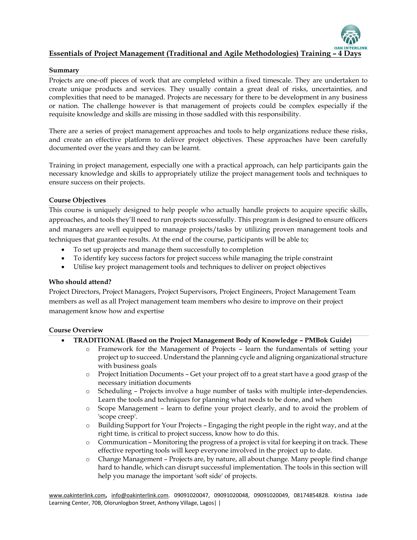

#### **Summary**

Projects are one-off pieces of work that are completed within a fixed timescale. They are undertaken to create unique products and services. They usually contain a great deal of risks, uncertainties, and complexities that need to be managed. Projects are necessary for there to be development in any business or nation. The challenge however is that management of projects could be complex especially if the requisite knowledge and skills are missing in those saddled with this responsibility.

There are a series of project management approaches and tools to help organizations reduce these risks, and create an effective platform to deliver project objectives. These approaches have been carefully documented over the years and they can be learnt.

Training in project management, especially one with a practical approach, can help participants gain the necessary knowledge and skills to appropriately utilize the project management tools and techniques to ensure success on their projects.

#### **Course Objectives**

This course is uniquely designed to help people who actually handle projects to acquire specific skills, approaches, and tools they'll need to run projects successfully. This program is designed to ensure officers and managers are well equipped to manage projects/tasks by utilizing proven management tools and techniques that guarantee results. At the end of the course, participants will be able to;

- To set up projects and manage them successfully to completion
- To identify key success factors for project success while managing the triple constraint
- Utilise key project management tools and techniques to deliver on project objectives

## **Who should attend?**

Project Directors, Project Managers, Project Supervisors, Project Engineers, Project Management Team members as well as all Project management team members who desire to improve on their project management know how and expertise

#### **Course Overview**

- **TRADITIONAL (Based on the Project Management Body of Knowledge – PMBok Guide)**
	- o Framework for the Management of Projects learn the fundamentals of setting your project up to succeed. Understand the planning cycle and aligning organizational structure with business goals
	- o [Project Initiation Documents](http://www.mindtools.com/pages/article/newPPM_85.htm) Get your project off to a great start have a good grasp of the necessary initiation documents
	- o [Scheduling](http://www.mindtools.com/pages/article/newPPM_00.htm#Sched) Projects involve a huge number of tasks with multiple inter-dependencies. Learn the tools and techniques for planning what needs to be done, and when
	- o [Scope Management](http://www.mindtools.com/pages/article/newPPM_00.htm#Scope) learn to define your project clearly, and to avoid the problem of 'scope creep'.
	- o [Building Support for Your Projects](http://www.mindtools.com/pages/article/newPPM_00.htm#Support) Engaging the right people in the right way, and at the right time, is critical to project success, know how to do this.
	- o [Communication](http://www.mindtools.com/pages/article/newPPM_00.htm#Comms) Monitoring the progress of a project is vital for keeping it on track. These effective reporting tools will keep everyone involved in the project up to date.
	- o [Change Management](http://www.mindtools.com/pages/article/newPPM_00.htm#Change) Projects are, by nature, all about change. Many people find change hard to handle, which can disrupt successful implementation. The tools in this section will help you manage the important 'soft side' of projects.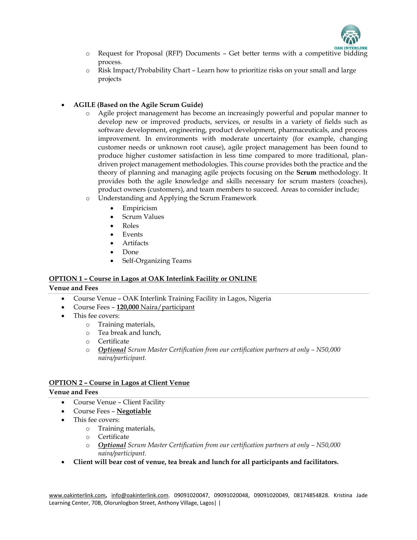

- **OF [Request for Proposal \(RFP\) Documents](http://www.mindtools.com/pages/article/newPPM_79.htm) Get better terms with a competitive bidding** process.
- o [Risk Impact/Probability Chart](http://www.mindtools.com/pages/article/newPPM_78.htm) Learn how to prioritize risks on your small and large projects

# **AGILE (Based on the Agile Scrum Guide)**

- o Agile project management has become an increasingly powerful and popular manner to develop new or improved products, services, or results in a variety of fields such as software development, engineering, product development, pharmaceuticals, and process improvement. In environments with moderate uncertainty (for example, changing customer needs or unknown root cause), agile project management has been found to produce higher customer satisfaction in less time compared to more traditional, plandriven project management methodologies. This course provides both the practice and the theory of planning and managing agile projects focusing on the **Scrum** methodology. It provides both the agile knowledge and skills necessary for scrum masters (coaches), product owners (customers), and team members to succeed. Areas to consider include;
- o [Understanding and Applying the Scrum Framework](https://www.scrum.org/professional-scrum-competencies/understanding-and-applying-scrum-framework)
	- Empiricism
	- Scrum Values
	- Roles
	- Events
	- Artifacts
	- Done
	- Self-Organizing Teams

# **OPTION 1 – Course in Lagos at OAK Interlink Facility or ONLINE**

## **Venue and Fees**

- Course Venue OAK Interlink Training Facility in Lagos, Nigeria
- Course Fees **120,000** Naira/participant
- This fee covers:
	- o Training materials,
	- o Tea break and lunch,
	- o Certificate
	- o *Optional Scrum Master Certification from our certification partners at only – N50,000 naira/participant.*

## **OPTION 2 – Course in Lagos at Client Venue**

## **Venue and Fees**

- Course Venue Client Facility
- Course Fees **Negotiable**
- This fee covers:
	- o Training materials,
	- o Certificate
	- o *Optional Scrum Master Certification from our certification partners at only – N50,000 naira/participant.*
- **Client will bear cost of venue, tea break and lunch for all participants and facilitators.**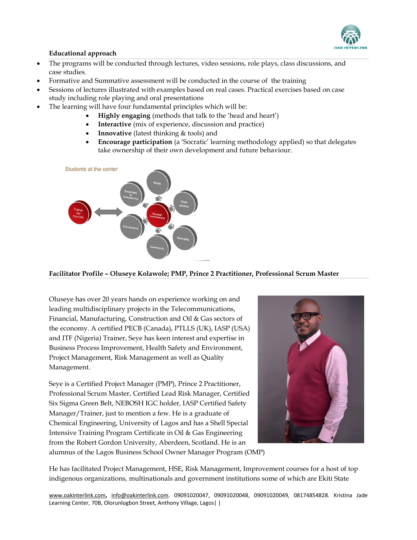

#### **Educational approach**

- The programs will be conducted through lectures, video sessions, role plays, class discussions, and case studies.
- Formative and Summative assessment will be conducted in the course of the training
- Sessions of lectures illustrated with examples based on real cases. Practical exercises based on case study including role playing and oral presentations
- The learning will have four fundamental principles which will be:
	- **Highly engaging** (methods that talk to the 'head and heart')
	- **Interactive** (mix of experience, discussion and practice)
	- **Innovative** (latest thinking & tools) and
	- **Encourage participation** (a 'Socratic' learning methodology applied) so that delegates take ownership of their own development and future behaviour.



#### **Facilitator Profile – Oluseye Kolawole; PMP, Prince 2 Practitioner, Professional Scrum Master**

Oluseye has over 20 years hands on experience working on and leading multidisciplinary projects in the Telecommunications, Financial, Manufacturing, Construction and Oil & Gas sectors of the economy. A certified PECB (Canada), PTLLS (UK), IASP (USA) and ITF (Nigeria) Trainer, Seye has keen interest and expertise in Business Process Improvement, Health Safety and Environment, Project Management, Risk Management as well as Quality Management.

Seye is a Certified Project Manager (PMP), Prince 2 Practitioner, Professional Scrum Master, Certified Lead Risk Manager, Certified Six Sigma Green Belt, NEBOSH IGC holder, IASP Certified Safety Manager/Trainer, just to mention a few. He is a graduate of Chemical Engineering, University of Lagos and has a Shell Special Intensive Training Program Certificate in Oil & Gas Engineering from the Robert Gordon University, Aberdeen, Scotland. He is an alumnus of the Lagos Business School Owner Manager Program (OMP)



He has facilitated Project Management, HSE, Risk Management, Improvement courses for a host of top indigenous organizations, multinationals and government institutions some of which are Ekiti State

[www.oakinterlink.com](http://www.oakinterlink.com/)**,** [info@oakinterlink.com.](mailto:info@oakinterlink.com) 09091020047, 09091020048, 09091020049, 08174854828. Kristina Jade Learning Center, 70B, Olorunlogbon Street, Anthony Village, Lagos | |